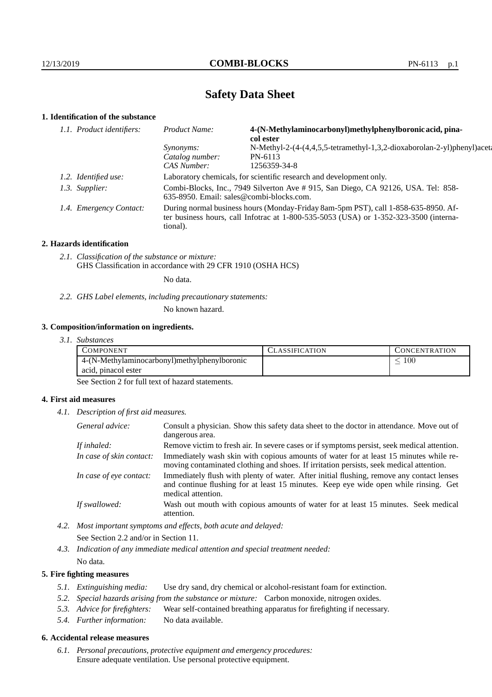# **Safety Data Sheet**

# **1. Identification of the substance**

| 1.1. Product identifiers: | 4-(N-Methylaminocarbonyl)methylphenylboronic acid, pina-<br>Product Name:<br>col ester                                                                                                      |                                                                         |  |
|---------------------------|---------------------------------------------------------------------------------------------------------------------------------------------------------------------------------------------|-------------------------------------------------------------------------|--|
|                           | Synonyms:                                                                                                                                                                                   | N-Methyl-2-(4-(4,4,5,5-tetramethyl-1,3,2-dioxaborolan-2-yl)phenyl)aceta |  |
|                           | Catalog number:                                                                                                                                                                             | PN-6113                                                                 |  |
|                           | CAS Number:                                                                                                                                                                                 | 1256359-34-8                                                            |  |
| 1.2. Identified use:      | Laboratory chemicals, for scientific research and development only.                                                                                                                         |                                                                         |  |
| 1.3. Supplier:            | Combi-Blocks, Inc., 7949 Silverton Ave # 915, San Diego, CA 92126, USA. Tel: 858-<br>635-8950. Email: sales@combi-blocks.com.                                                               |                                                                         |  |
| 1.4. Emergency Contact:   | During normal business hours (Monday-Friday 8am-5pm PST), call 1-858-635-8950. Af-<br>ter business hours, call Infotrac at $1-800-535-5053$ (USA) or $1-352-323-3500$ (interna-<br>tional). |                                                                         |  |

### **2. Hazards identification**

*2.1. Classification of the substance or mixture:* GHS Classification in accordance with 29 CFR 1910 (OSHA HCS)

No data.

*2.2. GHS Label elements, including precautionary statements:*

No known hazard.

### **3. Composition/information on ingredients.**

*3.1. Substances*

| COMPONENT                                    | CLASSIFICATION | <b>CONCENTRATION</b> |
|----------------------------------------------|----------------|----------------------|
| 4-(N-Methylaminocarbonyl)methylphenylboronic |                | 100                  |
| acid, pinacol ester                          |                |                      |

See Section 2 for full text of hazard statements.

### **4. First aid measures**

*4.1. Description of first aid measures.*

| General advice:          | Consult a physician. Show this safety data sheet to the doctor in attendance. Move out of<br>dangerous area.                                                                                            |
|--------------------------|---------------------------------------------------------------------------------------------------------------------------------------------------------------------------------------------------------|
| If inhaled:              | Remove victim to fresh air. In severe cases or if symptoms persist, seek medical attention.                                                                                                             |
| In case of skin contact: | Immediately wash skin with copious amounts of water for at least 15 minutes while re-<br>moving contaminated clothing and shoes. If irritation persists, seek medical attention.                        |
| In case of eye contact:  | Immediately flush with plenty of water. After initial flushing, remove any contact lenses<br>and continue flushing for at least 15 minutes. Keep eye wide open while rinsing. Get<br>medical attention. |
| If swallowed:            | Wash out mouth with copious amounts of water for at least 15 minutes. Seek medical<br>attention.                                                                                                        |

*4.2. Most important symptoms and effects, both acute and delayed:* See Section 2.2 and/or in Section 11.

*4.3. Indication of any immediate medical attention and special treatment needed:* No data.

## **5. Fire fighting measures**

- *5.1. Extinguishing media:* Use dry sand, dry chemical or alcohol-resistant foam for extinction.
- *5.2. Special hazards arising from the substance or mixture:* Carbon monoxide, nitrogen oxides.
- *5.3. Advice for firefighters:* Wear self-contained breathing apparatus for firefighting if necessary.
- *5.4. Further information:* No data available.

# **6. Accidental release measures**

*6.1. Personal precautions, protective equipment and emergency procedures:* Ensure adequate ventilation. Use personal protective equipment.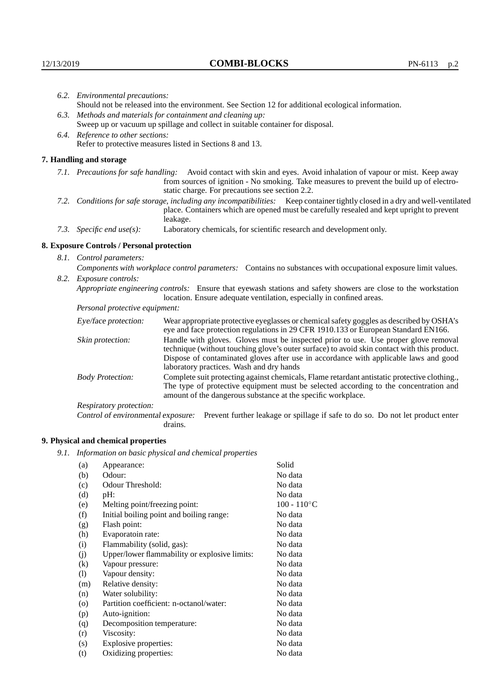| 6.2. Environmental precautions:                           |                                                                                                                                                                                                                                                                    |                                                                                                                                                                                                                                                                                                                        |  |
|-----------------------------------------------------------|--------------------------------------------------------------------------------------------------------------------------------------------------------------------------------------------------------------------------------------------------------------------|------------------------------------------------------------------------------------------------------------------------------------------------------------------------------------------------------------------------------------------------------------------------------------------------------------------------|--|
|                                                           | Should not be released into the environment. See Section 12 for additional ecological information.                                                                                                                                                                 |                                                                                                                                                                                                                                                                                                                        |  |
|                                                           | 6.3. Methods and materials for containment and cleaning up:                                                                                                                                                                                                        |                                                                                                                                                                                                                                                                                                                        |  |
|                                                           | Sweep up or vacuum up spillage and collect in suitable container for disposal.                                                                                                                                                                                     |                                                                                                                                                                                                                                                                                                                        |  |
| 6.4. Reference to other sections:                         |                                                                                                                                                                                                                                                                    |                                                                                                                                                                                                                                                                                                                        |  |
| Refer to protective measures listed in Sections 8 and 13. |                                                                                                                                                                                                                                                                    |                                                                                                                                                                                                                                                                                                                        |  |
|                                                           | 7. Handling and storage                                                                                                                                                                                                                                            |                                                                                                                                                                                                                                                                                                                        |  |
|                                                           | 7.1. Precautions for safe handling: Avoid contact with skin and eyes. Avoid inhalation of vapour or mist. Keep away<br>from sources of ignition - No smoking. Take measures to prevent the build up of electro-<br>static charge. For precautions see section 2.2. |                                                                                                                                                                                                                                                                                                                        |  |
|                                                           |                                                                                                                                                                                                                                                                    | 7.2. Conditions for safe storage, including any incompatibilities: Keep container tightly closed in a dry and well-ventilated<br>place. Containers which are opened must be carefully resealed and kept upright to prevent<br>leakage.                                                                                 |  |
|                                                           | 7.3. Specific end $use(s)$ :                                                                                                                                                                                                                                       | Laboratory chemicals, for scientific research and development only.                                                                                                                                                                                                                                                    |  |
|                                                           | 8. Exposure Controls / Personal protection                                                                                                                                                                                                                         |                                                                                                                                                                                                                                                                                                                        |  |
| 8.1. Control parameters:                                  |                                                                                                                                                                                                                                                                    |                                                                                                                                                                                                                                                                                                                        |  |
|                                                           | Components with workplace control parameters: Contains no substances with occupational exposure limit values.                                                                                                                                                      |                                                                                                                                                                                                                                                                                                                        |  |
|                                                           | 8.2. Exposure controls:                                                                                                                                                                                                                                            |                                                                                                                                                                                                                                                                                                                        |  |
|                                                           |                                                                                                                                                                                                                                                                    | Appropriate engineering controls: Ensure that eyewash stations and safety showers are close to the workstation<br>location. Ensure adequate ventilation, especially in confined areas.                                                                                                                                 |  |
|                                                           | Personal protective equipment:                                                                                                                                                                                                                                     |                                                                                                                                                                                                                                                                                                                        |  |
|                                                           | Eye/face protection:                                                                                                                                                                                                                                               | Wear appropriate protective eyeglasses or chemical safety goggles as described by OSHA's<br>eye and face protection regulations in 29 CFR 1910.133 or European Standard EN166.                                                                                                                                         |  |
|                                                           | Skin protection:                                                                                                                                                                                                                                                   | Handle with gloves. Gloves must be inspected prior to use. Use proper glove removal<br>technique (without touching glove's outer surface) to avoid skin contact with this product.<br>Dispose of contaminated gloves after use in accordance with applicable laws and good<br>laboratory practices. Wash and dry hands |  |
|                                                           | <b>Body Protection:</b>                                                                                                                                                                                                                                            | Complete suit protecting against chemicals, Flame retardant antistatic protective clothing.,<br>The type of protective equipment must be selected according to the concentration and<br>amount of the dangerous substance at the specific workplace.                                                                   |  |
|                                                           | Respiratory protection:                                                                                                                                                                                                                                            |                                                                                                                                                                                                                                                                                                                        |  |

Control of environmental exposure: Prevent further leakage or spillage if safe to do so. Do not let product enter drains.

# **9. Physical and chemical properties**

*9.1. Information on basic physical and chemical properties*

| (a)                | Appearance:                                   | Solid                |
|--------------------|-----------------------------------------------|----------------------|
| (b)                | Odour:                                        | No data              |
| (c)                | Odour Threshold:                              | No data              |
| (d)                | pH:                                           | No data              |
| (e)                | Melting point/freezing point:                 | $100 - 110^{\circ}C$ |
| (f)                | Initial boiling point and boiling range:      | No data              |
| (g)                | Flash point:                                  | No data              |
| (h)                | Evaporatoin rate:                             | No data              |
| (i)                | Flammability (solid, gas):                    | No data              |
| (j)                | Upper/lower flammability or explosive limits: | No data              |
| (k)                | Vapour pressure:                              | No data              |
| (1)                | Vapour density:                               | No data              |
| (m)                | Relative density:                             | No data              |
| (n)                | Water solubility:                             | No data              |
| $\left( 0 \right)$ | Partition coefficient: n-octanol/water:       | No data              |
| (p)                | Auto-ignition:                                | No data              |
| (q)                | Decomposition temperature:                    | No data              |
| (r)                | Viscosity:                                    | No data              |
| (s)                | Explosive properties:                         | No data              |
| (t)                | Oxidizing properties:                         | No data              |